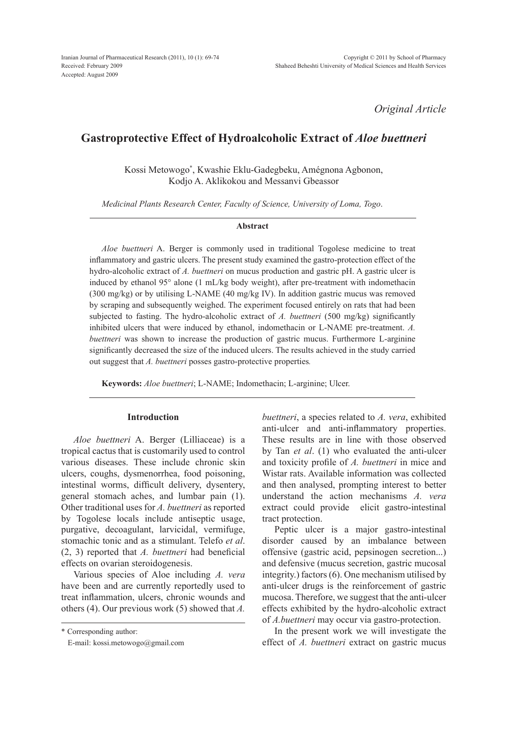*Original Article*

# **Gastroprotective Effect of Hydroalcoholic Extract of** *Aloe buettneri*

Kossi Metowogo\* , Kwashie Eklu-Gadegbeku, Amégnona Agbonon, Kodjo A. Aklikokou and Messanvi Gbeassor

*Medicinal Plants Research Center, Faculty of Science, University of Loma, Togo*.

#### **Abstract**

*Aloe buettneri* A. Berger is commonly used in traditional Togolese medicine to treat inflammatory and gastric ulcers. The present study examined the gastro-protection effect of the hydro-alcoholic extract of *A. buettneri* on mucus production and gastric pH. A gastric ulcer is induced by ethanol 95° alone (1 mL/kg body weight), after pre-treatment with indomethacin (300 mg/kg) or by utilising L-NAME (40 mg/kg IV). In addition gastric mucus was removed by scraping and subsequently weighed. The experiment focused entirely on rats that had been subjected to fasting. The hydro-alcoholic extract of *A. buettneri* (500 mg/kg) significantly inhibited ulcers that were induced by ethanol, indomethacin or L-NAME pre-treatment. *A. buettneri* was shown to increase the production of gastric mucus. Furthermore L-arginine significantly decreased the size of the induced ulcers. The results achieved in the study carried out suggest that *A. buettneri* posses gastro-protective properties*.*

**Keywords:** *Aloe buettneri*; L-NAME; Indomethacin; L-arginine; Ulcer.

## **Introduction**

*Aloe buettneri* A. Berger (Lilliaceae) is a tropical cactus that is customarily used to control various diseases. These include chronic skin ulcers, coughs, dysmenorrhea, food poisoning, intestinal worms, difficult delivery, dysentery, general stomach aches, and lumbar pain (1). Other traditional uses for *A. buettneri* as reported by Togolese locals include antiseptic usage, purgative, decoagulant, larvicidal, vermifuge, stomachic tonic and as a stimulant. Telefo *et al*. (2, 3) reported that *A. buettneri* had beneficial effects on ovarian steroidogenesis.

Various species of Aloe including *A. vera* have been and are currently reportedly used to treat inflammation, ulcers, chronic wounds and others (4). Our previous work (5) showed that *A.* 

\* Corresponding author:

E-mail: kossi.metowogo@gmail.com

*buettneri*, a species related to *A. vera*, exhibited anti-ulcer and anti-inflammatory properties. These results are in line with those observed by Tan *et al*. (1) who evaluated the anti-ulcer and toxicity profile of *A. buettneri* in mice and Wistar rats. Available information was collected and then analysed, prompting interest to better understand the action mechanisms *A. vera* extract could provide elicit gastro-intestinal tract protection.

Peptic ulcer is a major gastro-intestinal disorder caused by an imbalance between offensive (gastric acid, pepsinogen secretion...) and defensive (mucus secretion, gastric mucosal integrity.) factors (6). One mechanism utilised by anti-ulcer drugs is the reinforcement of gastric mucosa. Therefore, we suggest that the anti-ulcer effects exhibited by the hydro-alcoholic extract of *A.buettneri* may occur via gastro-protection.

In the present work we will investigate the effect of *A. buettneri* extract on gastric mucus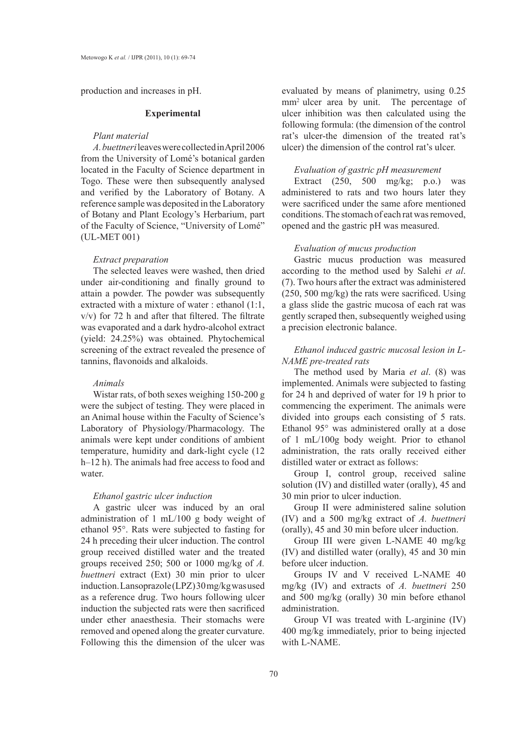production and increases in pH.

### **Experimental**

## *Plant material*

*A. buettneri* leaves were collected in April 2006 from the University of Lomé's botanical garden located in the Faculty of Science department in Togo. These were then subsequently analysed and verified by the Laboratory of Botany. A reference sample was deposited in the Laboratory of Botany and Plant Ecology's Herbarium, part of the Faculty of Science, "University of Lomé" (UL-MET 001)

### *Extract preparation*

The selected leaves were washed, then dried under air-conditioning and finally ground to attain a powder. The powder was subsequently extracted with a mixture of water : ethanol (1:1, v/v) for 72 h and after that filtered. The filtrate was evaporated and a dark hydro-alcohol extract (yield: 24.25%) was obtained. Phytochemical screening of the extract revealed the presence of tannins, flavonoids and alkaloids.

# *Animals*

Wistar rats, of both sexes weighing 150-200 g were the subject of testing. They were placed in an Animal house within the Faculty of Science's Laboratory of Physiology/Pharmacology. The animals were kept under conditions of ambient temperature, humidity and dark-light cycle (12 h–12 h). The animals had free access to food and water.

### *Ethanol gastric ulcer induction*

A gastric ulcer was induced by an oral administration of 1 mL/100 g body weight of ethanol 95°. Rats were subjected to fasting for 24 h preceding their ulcer induction. The control group received distilled water and the treated groups received 250; 500 or 1000 mg/kg of *A. buettneri* extract (Ext) 30 min prior to ulcer induction. Lansoprazole (LPZ) 30 mg/kg was used as a reference drug. Two hours following ulcer induction the subjected rats were then sacrificed under ether anaesthesia. Their stomachs were removed and opened along the greater curvature. Following this the dimension of the ulcer was

evaluated by means of planimetry, using 0.25 mm<sup>2</sup> ulcer area by unit. The percentage of ulcer inhibition was then calculated using the following formula: (the dimension of the control rat's ulcer-the dimension of the treated rat's ulcer) the dimension of the control rat's ulcer.

# *Evaluation of gastric pH measurement*

Extract (250, 500 mg/kg; p.o.) was administered to rats and two hours later they were sacrificed under the same afore mentioned conditions. The stomach of each rat was removed, opened and the gastric pH was measured.

### *Evaluation of mucus production*

Gastric mucus production was measured according to the method used by Salehi *et al*. (7). Two hours after the extract was administered (250, 500 mg/kg) the rats were sacrificed. Using a glass slide the gastric mucosa of each rat was gently scraped then, subsequently weighed using a precision electronic balance.

# *Ethanol induced gastric mucosal lesion in L-NAME pre-treated rats*

The method used by Maria *et al*. (8) was implemented. Animals were subjected to fasting for 24 h and deprived of water for 19 h prior to commencing the experiment. The animals were divided into groups each consisting of 5 rats. Ethanol 95° was administered orally at a dose of 1 mL/100g body weight. Prior to ethanol administration, the rats orally received either distilled water or extract as follows:

Group I, control group, received saline solution (IV) and distilled water (orally), 45 and 30 min prior to ulcer induction.

Group II were administered saline solution (IV) and a 500 mg/kg extract of *A. buettneri* (orally), 45 and 30 min before ulcer induction.

Group III were given L-NAME 40 mg/kg (IV) and distilled water (orally), 45 and 30 min before ulcer induction.

Groups IV and V received L-NAME 40 mg/kg (IV) and extracts of *A. buettneri* 250 and 500 mg/kg (orally) 30 min before ethanol administration.

Group VI was treated with L-arginine (IV) 400 mg/kg immediately, prior to being injected with L-NAME.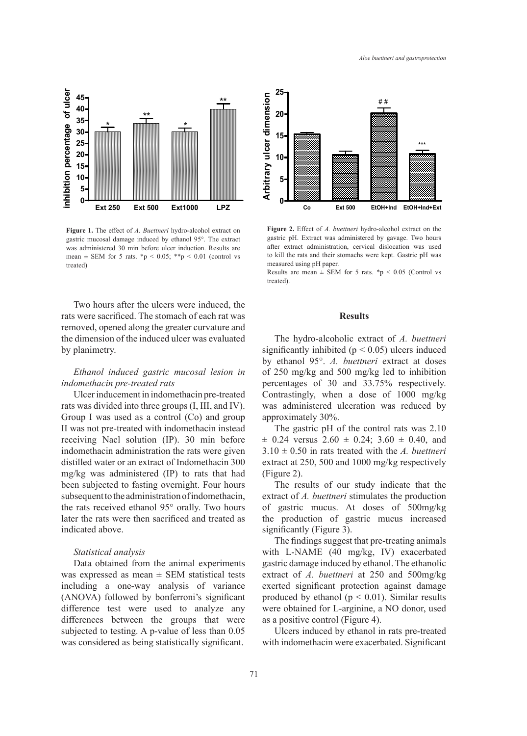

**Figure 1.** The effect of *A. Buettneri* hydro-alcohol extract on gastric mucosal damage induced by ethanol 95°. The extract was administered 30 min before ulcer induction. Results are mean  $\pm$  SEM for 5 rats. \*p < 0.05; \*\*p < 0.01 (control vs treated)

Two hours after the ulcers were induced, the rats were sacrificed. The stomach of each rat was removed, opened along the greater curvature and the dimension of the induced ulcer was evaluated by planimetry.

# *Ethanol induced gastric mucosal lesion in indomethacin pre-treated rats*

Ulcer inducement in indomethacin pre-treated rats was divided into three groups (I, III, and IV). Group I was used as a control (Co) and group II was not pre-treated with indomethacin instead receiving Nacl solution (IP). 30 min before indomethacin administration the rats were given distilled water or an extract of Indomethacin 300 mg/kg was administered (IP) to rats that had been subjected to fasting overnight. Four hours subsequent to the administration of indomethacin, the rats received ethanol 95° orally. Two hours later the rats were then sacrificed and treated as indicated above.

### *Statistical analysis*

Data obtained from the animal experiments was expressed as mean  $\pm$  SEM statistical tests including a one-way analysis of variance (ANOVA) followed by bonferroni's significant difference test were used to analyze any differences between the groups that were subjected to testing. A p-value of less than 0.05 was considered as being statistically significant.



**Figure 2.** Effect of *A. buettneri* hydro-alcohol extract on the gastric pH. Extract was administered by gavage. Two hours after extract administration, cervical dislocation was used to kill the rats and their stomachs were kept. Gastric pH was measured using pH paper.

Results are mean  $\pm$  SEM for 5 rats. \*p < 0.05 (Control vs treated).

#### **Results**

The hydro-alcoholic extract of *A. buettneri* significantly inhibited ( $p < 0.05$ ) ulcers induced by ethanol 95°. *A. buettneri* extract at doses of 250 mg/kg and 500 mg/kg led to inhibition percentages of 30 and 33.75% respectively. Contrastingly, when a dose of 1000 mg/kg was administered ulceration was reduced by approximately 30%.

The gastric pH of the control rats was 2.10  $\pm$  0.24 versus 2.60  $\pm$  0.24; 3.60  $\pm$  0.40, and  $3.10 \pm 0.50$  in rats treated with the *A. buettneri* extract at 250, 500 and 1000 mg/kg respectively (Figure 2).

The results of our study indicate that the extract of *A. buettneri* stimulates the production of gastric mucus. At doses of 500mg/kg the production of gastric mucus increased significantly (Figure 3).

The findings suggest that pre-treating animals with L-NAME (40 mg/kg, IV) exacerbated gastric damage induced by ethanol. The ethanolic extract of *A. buettneri* at 250 and 500mg/kg exerted significant protection against damage produced by ethanol ( $p < 0.01$ ). Similar results were obtained for L-arginine, a NO donor, used as a positive control (Figure 4).

Ulcers induced by ethanol in rats pre-treated with indomethacin were exacerbated. Significant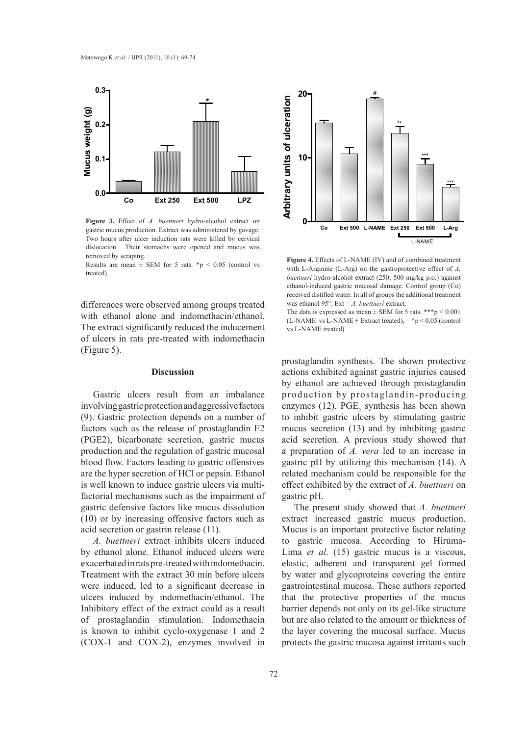

**Figure 3.** Effect of *A. buettneri* hydro-alcohol extract on gastric mucus production. Extract was administered by gavage. Two hours after ulcer induction rats were killed by cervical dislocation. Their stomachs were opened and mucus was removed by scraping.

Results are mean  $\pm$  SEM for 5 rats. \*p < 0.05 (control vs treated).

differences were observed among groups treated with ethanol alone and indomethacin/ethanol. The extract significantly reduced the inducement of ulcers in rats pre-treated with indomethacin (Figure 5).

### **Discussion**

Gastric ulcers result from an imbalance involving gastric protection and aggressive factors (9). Gastric protection depends on a number of factors such as the release of prostaglandin E2 (PGE2), bicarbonate secretion, gastric mucus production and the regulation of gastric mucosal blood flow. Factors leading to gastric offensives are the hyper secretion of HCl or pepsin. Ethanol is well known to induce gastric ulcers via multifactorial mechanisms such as the impairment of gastric defensive factors like mucus dissolution (10) or by increasing offensive factors such as acid secretion or gastrin release (11).

*A. buettneri* extract inhibits ulcers induced by ethanol alone. Ethanol induced ulcers were exacerbated in rats pre-treated with indomethacin. Treatment with the extract 30 min before ulcers were induced, led to a significant decrease in ulcers induced by indomethacin/ethanol. The Inhibitory effect of the extract could as a result of prostaglandin stimulation. Indomethacin is known to inhibit cyclo-oxygenase 1 and 2 (COX-1 and COX-2), enzymes involved in



**Figure 4.** Effects of L-NAME (IV) and of combined treatment with L-Arginine (L-Arg) on the gastroprotective effect of *A. buettneri* hydro-alcohol extract (250; 500 mg/kg p.o.) against ethanol-induced gastric mucosal damage. Control group (Co) received distilled water. In all of groups the additional treatment was ethanol 95°. Ext = *A. buettneri* extract. The data is expressed as mean  $\pm$  SEM for 5 rats. \*\*\*p < 0.001

(L-NAME vs L-NAME + Extract treated),  $\#p < 0.05$  (control vs L-NAME treated)

prostaglandin synthesis. The shown protective actions exhibited against gastric injuries caused by ethanol are achieved through prostaglandin production by prostaglandin-producing enzymes (12).  $PGE_2$  synthesis has been shown to inhibit gastric ulcers by stimulating gastric mucus secretion (13) and by inhibiting gastric acid secretion. A previous study showed that a preparation of *A. vera* led to an increase in gastric pH by utilizing this mechanism (14). A related mechanism could be responsible for the effect exhibited by the extract of *A. buettneri* on gastric pH.

The present study showed that *A. buettneri* extract increased gastric mucus production. Mucus is an important protective factor relating to gastric mucosa. According to Hiruma-Lima *et al*. (15) gastric mucus is a viscous, elastic, adherent and transparent gel formed by water and glycoproteins covering the entire gastrointestinal mucosa. These authors reported that the protective properties of the mucus barrier depends not only on its gel-like structure but are also related to the amount or thickness of the layer covering the mucosal surface. Mucus protects the gastric mucosa against irritants such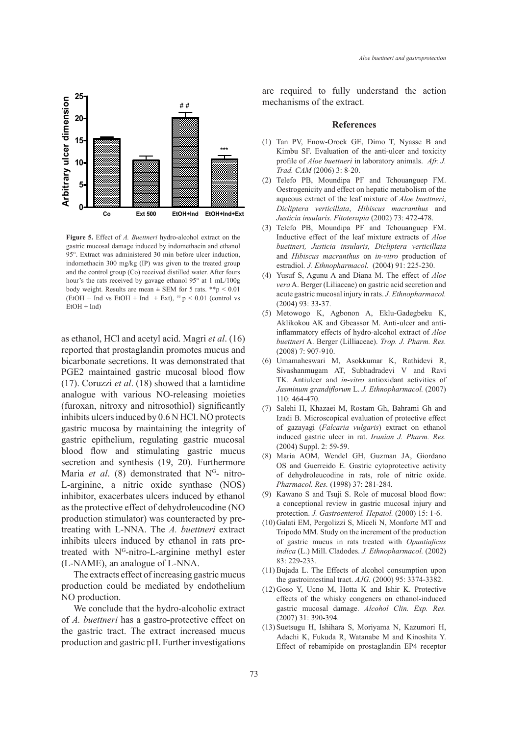

**Figure 5.** Effect of *A. Buettneri* hydro-alcohol extract on the gastric mucosal damage induced by indomethacin and ethanol 95°. Extract was administered 30 min before ulcer induction, indomethacin 300 mg/kg (IP) was given to the treated group and the control group (Co) received distilled water. After fours hour's the rats received by gavage ethanol 95° at 1 mL/100g body weight. Results are mean  $\pm$  SEM for 5 rats. \*\*p < 0.01  $(EtOH + Ind vs EtOH + Ind + Ext),$ ## p < 0.01 (control vs  $EtOH + Ind$ 

as ethanol, HCl and acetyl acid. Magri *et al*. (16) reported that prostaglandin promotes mucus and bicarbonate secretions. It was demonstrated that PGE2 maintained gastric mucosal blood flow (17). Coruzzi *et al*. (18) showed that a lamtidine analogue with various NO-releasing moieties (furoxan, nitroxy and nitrosothiol) significantly inhibits ulcers induced by 0.6 N HCl. NO protects gastric mucosa by maintaining the integrity of gastric epithelium, regulating gastric mucosal blood flow and stimulating gastric mucus secretion and synthesis (19, 20). Furthermore Maria *et al.* (8) demonstrated that N<sup>G</sup>- nitro-L-arginine, a nitric oxide synthase (NOS) inhibitor, exacerbates ulcers induced by ethanol as the protective effect of dehydroleucodine (NO production stimulator) was counteracted by pretreating with L-NNA. The *A. buettneri* extract inhibits ulcers induced by ethanol in rats pretreated with NG-nitro-L-arginine methyl ester (L-NAME), an analogue of L-NNA.

The extracts effect of increasing gastric mucus production could be mediated by endothelium NO production.

We conclude that the hydro-alcoholic extract of *A. buettneri* has a gastro-protective effect on the gastric tract. The extract increased mucus production and gastric pH. Further investigations are required to fully understand the action mechanisms of the extract.

#### **References**

- $(1)$  Tan PV, Enow-Orock GE, Dimo T, Nyasse B and Kimbu SF. Evaluation of the anti-ulcer and toxicity profile of *Aloe buettneri* in laboratory animals. *Afr. J. Trad. CAM* (2006) 3: 8-20.
- (2) Telefo PB, Moundipa PF and Tchouanguep FM. Oestrogenicity and effect on hepatic metabolism of the aqueous extract of the leaf mixture of *Aloe buettneri*, *Dicliptera verticillata*, *Hibiscus macranthus* and *Justicia insularis*. *Fitoterapia* (2002) 73: 472-478.
- (3) Telefo PB, Moundipa PF and Tchouanguep FM. Inductive effect of the leaf mixture extracts of *Aloe buettneri, Justicia insularis, Dicliptera verticillata*  and *Hibiscus macranthus* on *in-vitro* production of estradiol. *J. Ethnopharmacol.* (2004) 91: 225-230.
- Yusuf S, Agunu A and Diana M. The effect of *Aloe*  (4) *vera* A. Berger (Liliaceae) on gastric acid secretion and acute gastric mucosal injury in rats. *J. Ethnopharmacol.*  (2004) 93: 33-37.
- Metowogo K, Agbonon A, Eklu-Gadegbeku K, (5) Aklikokou AK and Gbeassor M. Anti-ulcer and antiinflammatory effects of hydro-alcohol extract of *Aloe buettneri* A. Berger (Lilliaceae). *Trop. J. Pharm. Res.* (2008) 7: 907-910.
- Umamaheswari M, Asokkumar K, Rathidevi R, (6) Sivashanmugam AT, Subhadradevi V and Ravi TK. Antiulcer and *in-vitro* antioxidant activities of *Jasminum grandiflorum* L. *J. Ethnopharmacol.* (2007) 110: 464-470.
- (7) Salehi H, Khazaei M, Rostam Gh, Bahrami Gh and Izadi B. Microscopical evaluation of protective effect of gazayagi (*Falcaria vulgaris*) extract on ethanol induced gastric ulcer in rat. *Iranian J. Pharm. Res.* (2004) Suppl. 2: 59-59.
- Maria AOM, Wendel GH, Guzman JA, Giordano (8) OS and Guerreido E. Gastric cytoprotective activity of dehydroleucodine in rats, role of nitric oxide. *Pharmacol. Res.* (1998) 37: 281-284.
- (9) Kawano S and Tsuji S. Role of mucosal blood flow: a conceptional review in gastric mucosal injury and protection. *J. Gastroenterol. Hepatol.* (2000) 15: 1-6.
- (10) Galati EM, Pergolizzi S, Miceli N, Monforte MT and Tripodo MM. Study on the increment of the production of gastric mucus in rats treated with *Opuntiaficus indica* (L.) Mill. Cladodes. *J. Ethnopharmacol.* (2002) 83: 229-233.
- $(11)$  Bujada L. The Effects of alcohol consumption upon the gastrointestinal tract. *AJG.* (2000) 95: 3374-3382.
- $(12)$  Goso Y, Ucno M, Hotta K and Ishir K. Protective effects of the whisky congeners on ethanol-induced gastric mucosal damage. *Alcohol Clin. Exp. Res.*  (2007) 31: 390-394.
- (13) Suetsugu H, Ishihara S, Moriyama N, Kazumori H, Adachi K, Fukuda R, Watanabe M and Kinoshita Y. Effect of rebamipide on prostaglandin EP4 receptor